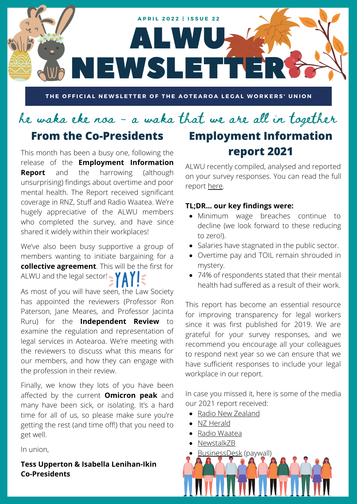

THE OFFICIAL NEWSLETTER OF THE AOTEAROA LEGAL WORKERS' UNION

# he waka eke noa - a waka that we are all in together **From the Co-Presidents**

This month has been a busy one, following the release of the **Employment Information Report** and the harrowing (although unsurprising) findings about overtime and poor mental health. The Report received significant coverage in RNZ, Stuff and Radio Waatea. We're hugely appreciative of the ALWU members who completed the survey, and have since shared it widely within their workplaces!

We've also been busy supportive a group of members wanting to initiate bargaining for a **collective agreement**. This will be the first for ALWU and the legal sector!  $\cdot$   $\gamma$   $\wedge$   $\gamma$ 

As most of you will have seen, the Law Society has appointed the reviewers (Professor Ron Paterson, Jane Meares, and Professor Jacinta Ruru) for the **Independent Review** to examine the regulation and representation of legal services in Aotearoa. We're meeting with the reviewers to discuss what this means for our members, and how they can engage with the profession in their review.

Finally, we know they lots of you have been affected by the current **Omicron peak** and many have been sick, or isolating. It's a hard time for all of us, so please make sure you're getting the rest (and time off!) that you need to get well.

In union,

### **Tess Upperton & Isabella Lenihan-Ikin Co-Presidents**

**Employment Information report 2021**

ALWU recently compiled, analysed and reported on your survey responses. You can read the full report [here.](https://www.alwu.org.nz/_files/ugd/339da2_bec0e740ad5948258437835388535d99.pdf)

### **TL;DR... our key findings were:**

- Minimum wage breaches continue to decline (we look forward to these reducing to zero!).
- Salaries have stagnated in the public sector.
- Overtime pay and TOIL remain shrouded in mystery.
- 74% of respondents stated that their mental health had suffered as a result of their work.

This report has become an essential resource for improving transparency for legal workers since it was first published for 2019. We are grateful for your survey responses, and we recommend you encourage all your colleagues to respond next year so we can ensure that we have sufficient responses to include your legal workplace in our report.

In case you missed it, here is some of the media our 2021 report received:

- [Radio New Zealand](https://www.rnz.co.nz/news/business/463026/legal-workers-point-to-bullying-workloads-and-unpaid-overtime-for-poor-mental-health)
- [NZ Herald](https://www.nzherald.co.nz/nz/legal-workers-point-to-bullying-workloads-and-unpaid-overtime-for-poor-mental-health/VYV4GTJCB2YRYQUTPLNDLIMM6E/)
- [Radio Waatea](https://waateanews.com/2022/03/23/tess-upperton-co-president-of-aotearoa-legal-workers-union/)
- [NewstalkZB](https://www.newstalkzb.co.nz/on-air/early-edition/audio/tess-upperton-aotearoa-legal-workers-union-president-on-report-finding-74-percent-of-lawyers-feel-their-work-is-causing-their-mental-health-to-suffer/)
- [BusinessDesk](https://businessdesk.co.nz/article/law-regulation/are-law-firms-exploiting-junior-employees) (paywall)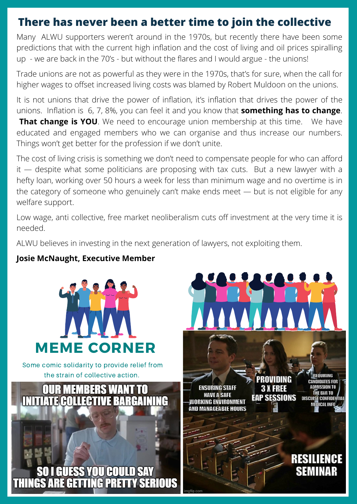# **There has never been a better time to join the collective**

Many ALWU supporters weren't around in the 1970s, but recently there have been some predictions that with the current high inflation and the cost of living and oil prices spiralling up - we are back in the 70's - but without the flares and I would argue - the unions!

Trade unions are not as powerful as they were in the 1970s, that's for sure, when the call for higher wages to offset increased living costs was blamed by Robert Muldoon on the unions.

It is not unions that drive the power of inflation, it's inflation that drives the power of the unions. Inflation is 6, 7, 8%, you can feel it and you know that **something has to change**.

**That change is YOU**. We need to encourage union membership at this time. We have educated and engaged members who we can organise and thus increase our numbers. Things won't get better for the profession if we don't unite.

The cost of living crisis is something we don't need to compensate people for who can afford it — despite what some politicians are proposing with tax cuts. But a new lawyer with a hefty loan, working over 50 hours a week for less than minimum wage and no overtime is in the category of someone who genuinely can't make ends meet — but is not eligible for any welfare support.

Low wage, anti collective, free market neoliberalism cuts off investment at the very time it is needed.

ALWU believes in investing in the next generation of lawyers, not exploiting them.

### **Josie McNaught, Executive Member**